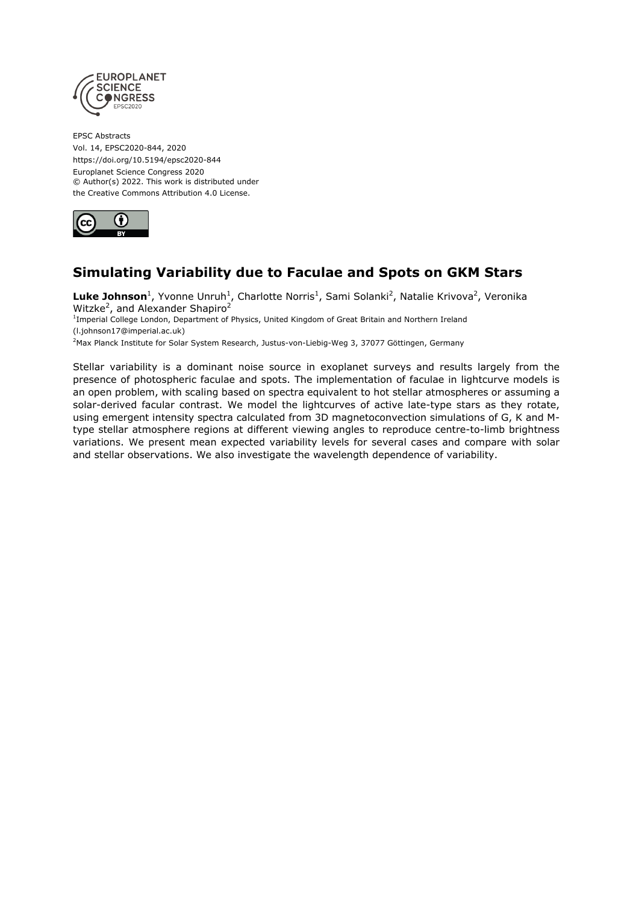

EPSC Abstracts Vol. 14, EPSC2020-844, 2020 https://doi.org/10.5194/epsc2020-844 Europlanet Science Congress 2020 © Author(s) 2022. This work is distributed under the Creative Commons Attribution 4.0 License.



## **Simulating Variability due to Faculae and Spots on GKM Stars**

Luke Johnson<sup>1</sup>, Yvonne Unruh<sup>1</sup>, Charlotte Norris<sup>1</sup>, Sami Solanki<sup>2</sup>, Natalie Krivova<sup>2</sup>, Veronika Witzke<sup>2</sup>, and Alexander Shapiro<sup>2</sup> <sup>1</sup>Imperial College London, Department of Physics, United Kingdom of Great Britain and Northern Ireland (l.johnson17@imperial.ac.uk)

<sup>2</sup>Max Planck Institute for Solar System Research, Justus-von-Liebig-Weg 3, 37077 Göttingen, Germany

Stellar variability is a dominant noise source in exoplanet surveys and results largely from the presence of photospheric faculae and spots. The implementation of faculae in lightcurve models is an open problem, with scaling based on spectra equivalent to hot stellar atmospheres or assuming a solar-derived facular contrast. We model the lightcurves of active late-type stars as they rotate, using emergent intensity spectra calculated from 3D magnetoconvection simulations of G, K and Mtype stellar atmosphere regions at different viewing angles to reproduce centre-to-limb brightness variations. We present mean expected variability levels for several cases and compare with solar and stellar observations. We also investigate the wavelength dependence of variability.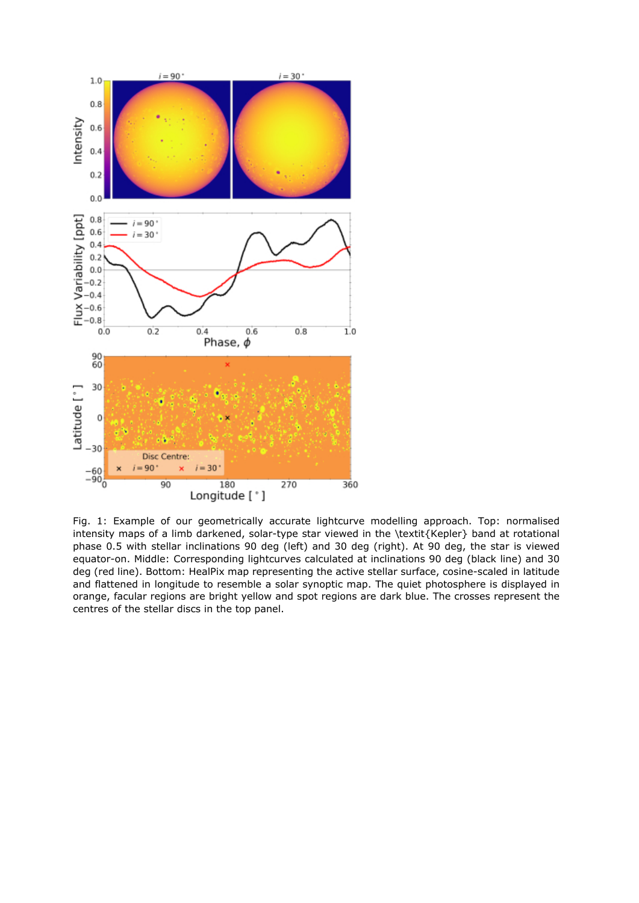

Fig. 1: Example of our geometrically accurate lightcurve modelling approach. Top: normalised intensity maps of a limb darkened, solar-type star viewed in the \textit{Kepler} band at rotational phase 0.5 with stellar inclinations 90 deg (left) and 30 deg (right). At 90 deg, the star is viewed equator-on. Middle: Corresponding lightcurves calculated at inclinations 90 deg (black line) and 30 deg (red line). Bottom: HealPix map representing the active stellar surface, cosine-scaled in latitude and flattened in longitude to resemble a solar synoptic map. The quiet photosphere is displayed in orange, facular regions are bright yellow and spot regions are dark blue. The crosses represent the centres of the stellar discs in the top panel.